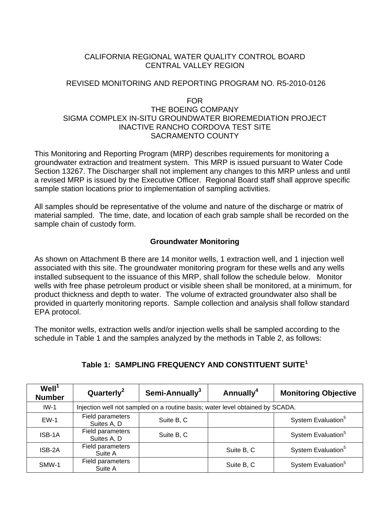# CALIFORNIA REGIONAL WATER QUALITY CONTROL BOARD CENTRAL VALLEY REGION

# REVISED MONITORING AND REPORTING PROGRAM NO. R5-2010-0126

#### FOR

# THE BOEING COMPANY SIGMA COMPLEX IN-SITU GROUNDWATER BIOREMEDIATION PROJECT INACTIVE RANCHO CORDOVA TEST SITE SACRAMENTO COUNTY

This Monitoring and Reporting Program (MRP) describes requirements for monitoring a groundwater extraction and treatment system. This MRP is issued pursuant to Water Code Section 13267. The Discharger shall not implement any changes to this MRP unless and until a revised MRP is issued by the Executive Officer. Regional Board staff shall approve specific sample station locations prior to implementation of sampling activities.

All samples should be representative of the volume and nature of the discharge or matrix of material sampled. The time, date, and location of each grab sample shall be recorded on the sample chain of custody form.

# **Groundwater Monitoring**

As shown on Attachment B there are 14 monitor wells, 1 extraction well, and 1 injection well associated with this site. The groundwater monitoring program for these wells and any wells installed subsequent to the issuance of this MRP, shall follow the schedule below. Monitor wells with free phase petroleum product or visible sheen shall be monitored, at a minimum, for product thickness and depth to water. The volume of extracted groundwater also shall be provided in quarterly monitoring reports. Sample collection and analysis shall follow standard EPA protocol.

The monitor wells, extraction wells and/or injection wells shall be sampled according to the schedule in Table 1 and the samples analyzed by the methods in Table 2, as follows:

| Well <sup>1</sup><br><b>Number</b> | Quarterly <sup>2</sup>          | Semi-Annually <sup>3</sup>                                                    | Annually <sup>4</sup> | <b>Monitoring Objective</b>    |
|------------------------------------|---------------------------------|-------------------------------------------------------------------------------|-----------------------|--------------------------------|
| $IW-1$                             |                                 | Injection well not sampled on a routine basis; water level obtained by SCADA. |                       |                                |
| $EW-1$                             | Field parameters<br>Suites A, D | Suite B, C                                                                    |                       | System Evaluation <sup>5</sup> |
| ISB-1A                             | Field parameters<br>Suites A, D | Suite B, C                                                                    |                       | System Evaluation <sup>5</sup> |
| ISB-2A                             | Field parameters<br>Suite A     |                                                                               | Suite B, C            | System Evaluation <sup>5</sup> |
| SMW-1                              | Field parameters<br>Suite A     |                                                                               | Suite B, C            | System Evaluation <sup>5</sup> |

# **Table 1: SAMPLING FREQUENCY AND CONSTITUENT SUITE<sup>1</sup>**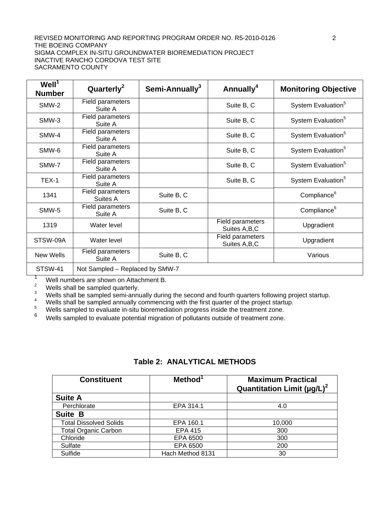#### REVISED MONITORING AND REPORTING PROGRAM ORDER NO. R5-2010-0126 2 THE BOEING COMPANY SIGMA COMPLEX IN-SITU GROUNDWATER BIOREMEDIATION PROJECT INACTIVE RANCHO CORDOVA TEST SITE SACRAMENTO COUNTY

| WeII <sup>1</sup><br><b>Number</b> | Quarterly <sup>2</sup>          | Semi-Annually <sup>3</sup> | Annually <sup>4</sup>              | <b>Monitoring Objective</b>    |
|------------------------------------|---------------------------------|----------------------------|------------------------------------|--------------------------------|
| SMW-2                              | Field parameters<br>Suite A     |                            | Suite B, C                         | System Evaluation <sup>5</sup> |
| SMW-3                              | Field parameters<br>Suite A     |                            | Suite B, C                         | System Evaluation <sup>5</sup> |
| SMW-4                              | Field parameters<br>Suite A     |                            | Suite B, C                         | System Evaluation <sup>5</sup> |
| SMW-6                              | Field parameters<br>Suite A     |                            | Suite B, C                         | System Evaluation <sup>5</sup> |
| SMW-7                              | Field parameters<br>Suite A     |                            | Suite B, C                         | System Evaluation <sup>5</sup> |
| TEX-1                              | Field parameters<br>Suite A     |                            | Suite B, C                         | System Evaluation <sup>5</sup> |
| 1341                               | Field parameters<br>Suites A    | Suite B, C                 |                                    | Compliance <sup>6</sup>        |
| SMW-5                              | Field parameters<br>Suite A     | Suite B, C                 |                                    | Compliance <sup>6</sup>        |
| 1319                               | Water level                     |                            | Field parameters<br>Suites A, B, C | Upgradient                     |
| STSW-09A                           | Water level                     |                            | Field parameters<br>Suites A, B, C | Upgradient                     |
| New Wells                          | Field parameters<br>Suite A     | Suite B, C                 |                                    | Various                        |
| STSW-41                            | Not Sampled - Replaced by SMW-7 |                            |                                    |                                |

<sup>1</sup> Well numbers are shown on Attachment B.<br> $\frac{2}{3}$  Wells abell be sempled supportantly.

<sup>2</sup><br>Wells shall be sampled semi-annually during the second and fourth quarters following project startup.<br><sup>4</sup><br>Wells shall be sampled annually commencing with the first quarter of the project startup.<br><sup>5</sup><br>Wells sampled to e

- 
- 

Wells sampled to evaluate potential migration of pollutants outside of treatment zone.

| <b>Table 2: ANALYTICAL METHODS</b> |  |  |  |  |
|------------------------------------|--|--|--|--|
|------------------------------------|--|--|--|--|

| <b>Constituent</b>            | Method <sup>1</sup> | <b>Maximum Practical</b><br>Quantitation Limit ( $\mu$ g/L) <sup>2</sup> |
|-------------------------------|---------------------|--------------------------------------------------------------------------|
| <b>Suite A</b>                |                     |                                                                          |
| Perchlorate                   | EPA 314.1           | 4.0                                                                      |
| <b>Suite B</b>                |                     |                                                                          |
| <b>Total Dissolved Solids</b> | EPA 160.1           | 10,000                                                                   |
| <b>Total Organic Carbon</b>   | <b>EPA 415</b>      | 300                                                                      |
| Chloride                      | EPA 6500            | 300                                                                      |
| Sulfate                       | EPA 6500            | 200                                                                      |
| Sulfide                       | Hach Method 8131    | 30                                                                       |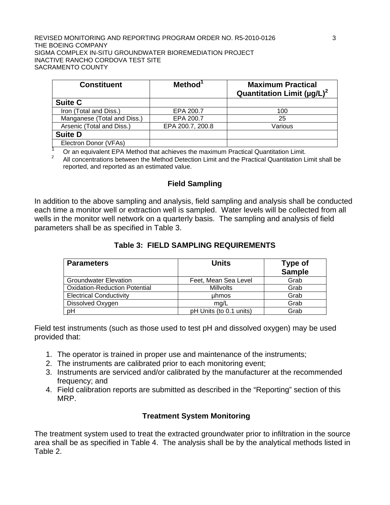#### REVISED MONITORING AND REPORTING PROGRAM ORDER NO. R5-2010-0126 3 THE BOEING COMPANY SIGMA COMPLEX IN-SITU GROUNDWATER BIOREMEDIATION PROJECT INACTIVE RANCHO CORDOVA TEST SITE SACRAMENTO COUNTY

| <b>Constituent</b>          | Method <sup>1</sup> | <b>Maximum Practical</b><br>Quantitation Limit $(\mu q/L)^2$ |
|-----------------------------|---------------------|--------------------------------------------------------------|
| <b>Suite C</b>              |                     |                                                              |
| Iron (Total and Diss.)      | EPA 200.7           | 100                                                          |
| Manganese (Total and Diss.) | EPA 200.7           | 25                                                           |
| Arsenic (Total and Diss.)   | EPA 200.7, 200.8    | Various                                                      |
| <b>Suite D</b>              |                     |                                                              |
| Electron Donor (VFAs)       |                     |                                                              |

1 Or an equivalent EPA Method that achieves the maximum Practical Quantitation Limit.

2 All concentrations between the Method Detection Limit and the Practical Quantitation Limit shall be reported, and reported as an estimated value.

## **Field Sampling**

In addition to the above sampling and analysis, field sampling and analysis shall be conducted each time a monitor well or extraction well is sampled. Water levels will be collected from all wells in the monitor well network on a quarterly basis. The sampling and analysis of field parameters shall be as specified in Table 3.

## **Table 3: FIELD SAMPLING REQUIREMENTS**

| <b>Parameters</b>                    | <b>Units</b>            | Type of<br><b>Sample</b> |
|--------------------------------------|-------------------------|--------------------------|
| <b>Groundwater Elevation</b>         | Feet, Mean Sea Level    | Grab                     |
| <b>Oxidation-Reduction Potential</b> | <b>Millvolts</b>        | Grab                     |
| <b>Electrical Conductivity</b>       | uhmos                   | Grab                     |
| Dissolved Oxygen                     | mg/L                    | Grab                     |
| pH                                   | pH Units (to 0.1 units) | Grab                     |

Field test instruments (such as those used to test pH and dissolved oxygen) may be used provided that:

- 1. The operator is trained in proper use and maintenance of the instruments;
- 2. The instruments are calibrated prior to each monitoring event;
- 3. Instruments are serviced and/or calibrated by the manufacturer at the recommended frequency; and
- 4. Field calibration reports are submitted as described in the "Reporting" section of this MRP.

## **Treatment System Monitoring**

The treatment system used to treat the extracted groundwater prior to infiltration in the source area shall be as specified in Table 4. The analysis shall be by the analytical methods listed in Table 2.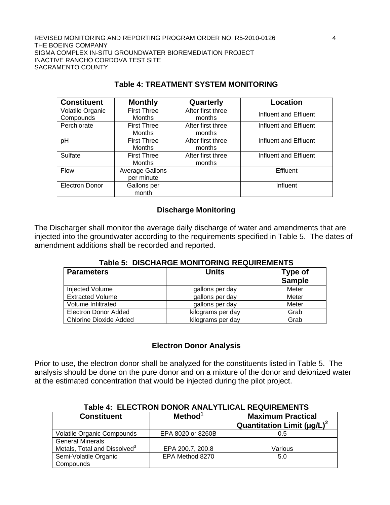REVISED MONITORING AND REPORTING PROGRAM ORDER NO. R5-2010-0126 4 THE BOEING COMPANY SIGMA COMPLEX IN-SITU GROUNDWATER BIOREMEDIATION PROJECT INACTIVE RANCHO CORDOVA TEST SITE SACRAMENTO COUNTY

| <b>Constituent</b>    | <b>Monthly</b>         | Quarterly         | Location              |
|-----------------------|------------------------|-------------------|-----------------------|
| Volatile Organic      | <b>First Three</b>     | After first three | Influent and Effluent |
| Compounds             | <b>Months</b>          | months            |                       |
| Perchlorate           | <b>First Three</b>     | After first three | Influent and Effluent |
|                       | <b>Months</b>          | months            |                       |
| pH                    | <b>First Three</b>     | After first three | Influent and Effluent |
|                       | <b>Months</b>          | months            |                       |
| Sulfate               | <b>First Three</b>     | After first three | Influent and Effluent |
|                       | <b>Months</b>          | months            |                       |
| Flow                  | <b>Average Gallons</b> |                   | Effluent              |
|                       | per minute             |                   |                       |
| <b>Electron Donor</b> | Gallons per            |                   | Influent              |
|                       | month                  |                   |                       |

# **Table 4: TREATMENT SYSTEM MONITORING**

## **Discharge Monitoring**

The Discharger shall monitor the average daily discharge of water and amendments that are injected into the groundwater according to the requirements specified in Table 5. The dates of amendment additions shall be recorded and reported.

#### **Table 5: DISCHARGE MONITORING REQUIREMENTS**

| <b>Parameters</b>             | <b>Units</b>      | Type of<br><b>Sample</b> |
|-------------------------------|-------------------|--------------------------|
| Injected Volume               | gallons per day   | Meter                    |
| <b>Extracted Volume</b>       | gallons per day   | Meter                    |
| Volume Infiltrated            | gallons per day   | Meter                    |
| <b>Electron Donor Added</b>   | kilograms per day | Grab                     |
| <b>Chlorine Dioxide Added</b> | kilograms per day | Grab                     |

## **Electron Donor Analysis**

Prior to use, the electron donor shall be analyzed for the constituents listed in Table 5. The analysis should be done on the pure donor and on a mixture of the donor and deionized water at the estimated concentration that would be injected during the pilot project.

| TAMG 7. EELVINUN DUNUN ANALT ILIVAL INLAUINLIVILITIU |                     |                                                              |  |  |
|------------------------------------------------------|---------------------|--------------------------------------------------------------|--|--|
| <b>Constituent</b>                                   | Method <sup>1</sup> | <b>Maximum Practical</b><br>Quantitation Limit $(\mu g/L)^2$ |  |  |
| <b>Volatile Organic Compounds</b>                    | EPA 8020 or 8260B   | 0.5                                                          |  |  |
| <b>General Minerals</b>                              |                     |                                                              |  |  |
| Metals, Total and Dissolved <sup>3</sup>             | EPA 200.7, 200.8    | Various                                                      |  |  |
| Semi-Volatile Organic                                | EPA Method 8270     | 5.0                                                          |  |  |
| Compounds                                            |                     |                                                              |  |  |

# **Table 4: ELECTRON DONOR ANALYTLICAL REQUIREMENTS**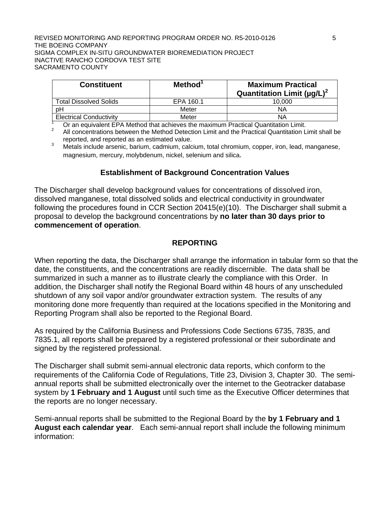#### REVISED MONITORING AND REPORTING PROGRAM ORDER NO. R5-2010-0126 **5** THE BOEING COMPANY SIGMA COMPLEX IN-SITU GROUNDWATER BIOREMEDIATION PROJECT INACTIVE RANCHO CORDOVA TEST SITE SACRAMENTO COUNTY

| <b>Constituent</b>             | Method <sup>1</sup> | <b>Maximum Practical</b><br>Quantitation Limit ( $\mu$ g/L) <sup>2</sup> |
|--------------------------------|---------------------|--------------------------------------------------------------------------|
| <b>Total Dissolved Solids</b>  | EPA 160.1           | 10.000                                                                   |
| υH                             | Meter               | ΝA                                                                       |
| <b>Electrical Conductivity</b> | Meter               | ΝA                                                                       |

 $\frac{1}{2}$  Or an equivalent EPA Method that achieves the maximum Practical Quantitation Limit.

2 All concentrations between the Method Detection Limit and the Practical Quantitation Limit shall be

reported, and reported as an estimated value.<br><sup>3</sup> Metals include arsenic, barium, cadmium, calcium, total chromium, copper, iron, lead, manganese, magnesium, mercury, molybdenum, nickel, selenium and silica.

## **Establishment of Background Concentration Values**

The Discharger shall develop background values for concentrations of dissolved iron, dissolved manganese, total dissolved solids and electrical conductivity in groundwater following the procedures found in CCR Section 20415(e)(10). The Discharger shall submit a proposal to develop the background concentrations by **no later than 30 days prior to commencement of operation**.

#### **REPORTING**

When reporting the data, the Discharger shall arrange the information in tabular form so that the date, the constituents, and the concentrations are readily discernible. The data shall be summarized in such a manner as to illustrate clearly the compliance with this Order. In addition, the Discharger shall notify the Regional Board within 48 hours of any unscheduled shutdown of any soil vapor and/or groundwater extraction system. The results of any monitoring done more frequently than required at the locations specified in the Monitoring and Reporting Program shall also be reported to the Regional Board.

As required by the California Business and Professions Code Sections 6735, 7835, and 7835.1, all reports shall be prepared by a registered professional or their subordinate and signed by the registered professional.

The Discharger shall submit semi-annual electronic data reports, which conform to the requirements of the California Code of Regulations, Title 23, Division 3, Chapter 30. The semiannual reports shall be submitted electronically over the internet to the Geotracker database system by **1 February and 1 August** until such time as the Executive Officer determines that the reports are no longer necessary.

Semi-annual reports shall be submitted to the Regional Board by the **by 1 February and 1 August each calendar year**. Each semi-annual report shall include the following minimum information: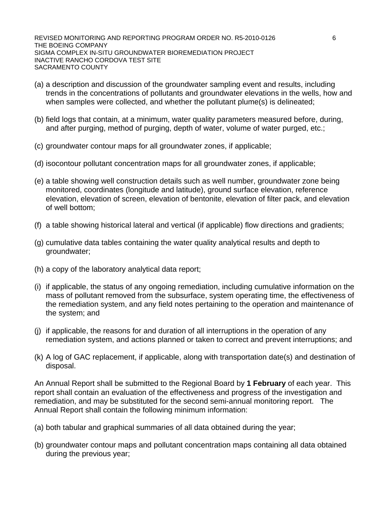REVISED MONITORING AND REPORTING PROGRAM ORDER NO. R5-2010-0126 66 THE BOEING COMPANY SIGMA COMPLEX IN-SITU GROUNDWATER BIOREMEDIATION PROJECT INACTIVE RANCHO CORDOVA TEST SITE SACRAMENTO COUNTY

- (a) a description and discussion of the groundwater sampling event and results, including trends in the concentrations of pollutants and groundwater elevations in the wells, how and when samples were collected, and whether the pollutant plume(s) is delineated;
- (b) field logs that contain, at a minimum, water quality parameters measured before, during, and after purging, method of purging, depth of water, volume of water purged, etc.;
- (c) groundwater contour maps for all groundwater zones, if applicable;
- (d) isocontour pollutant concentration maps for all groundwater zones, if applicable;
- (e) a table showing well construction details such as well number, groundwater zone being monitored, coordinates (longitude and latitude), ground surface elevation, reference elevation, elevation of screen, elevation of bentonite, elevation of filter pack, and elevation of well bottom;
- (f) a table showing historical lateral and vertical (if applicable) flow directions and gradients;
- (g) cumulative data tables containing the water quality analytical results and depth to groundwater;
- (h) a copy of the laboratory analytical data report;
- (i) if applicable, the status of any ongoing remediation, including cumulative information on the mass of pollutant removed from the subsurface, system operating time, the effectiveness of the remediation system, and any field notes pertaining to the operation and maintenance of the system; and
- (j) if applicable, the reasons for and duration of all interruptions in the operation of any remediation system, and actions planned or taken to correct and prevent interruptions; and
- (k) A log of GAC replacement, if applicable, along with transportation date(s) and destination of disposal.

An Annual Report shall be submitted to the Regional Board by **1 February** of each year. This report shall contain an evaluation of the effectiveness and progress of the investigation and remediation, and may be substituted for the second semi-annual monitoring report. The Annual Report shall contain the following minimum information:

- (a) both tabular and graphical summaries of all data obtained during the year;
- (b) groundwater contour maps and pollutant concentration maps containing all data obtained during the previous year;